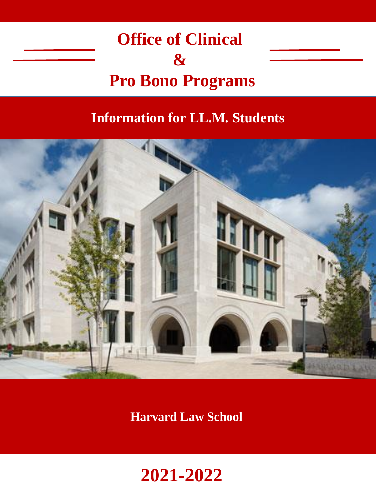



### **Harvard Law School**

# **Information for LL.M. Students**

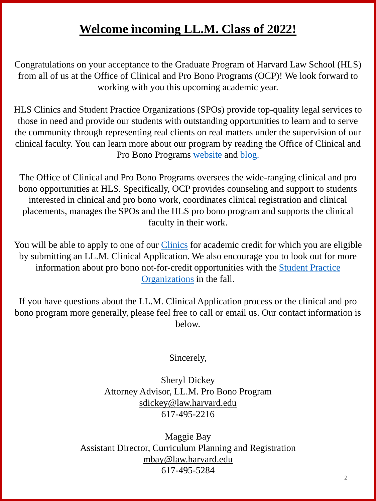# **Welcome incoming LL.M. Class of 2022!**

HLS Clinics and Student Practice Organizations (SPOs) provide top-quality legal services to those in need and provide our students with outstanding opportunities to learn and to serve the community through representing real clients on real matters under the supervision of our clinical faculty. You can learn more about our program by reading the Office of Clinical and Pro Bono Programs [website](https://hls.harvard.edu/dept/clinical/) and [blog.](http://blogs.harvard.edu/clinicalprobono/)

Congratulations on your acceptance to the Graduate Program of Harvard Law School (HLS) from all of us at the Office of Clinical and Pro Bono Programs (OCP)! We look forward to working with you this upcoming academic year.

You will be able to apply to one of our *[Clinics](https://hls.harvard.edu/dept/clinical/clinics/in-house-clinics/)* for academic credit for which you are eligible by submitting an LL.M. Clinical Application. We also encourage you to look out for more information about pro bono [not-for-credit opportunities with the Student Practice](https://hls.harvard.edu/dept/clinical/student-practice-organizations-spos/) Organizations in the fall.

The Office of Clinical and Pro Bono Programs oversees the wide-ranging clinical and pro bono opportunities at HLS. Specifically, OCP provides counseling and support to students interested in clinical and pro bono work, coordinates clinical registration and clinical placements, manages the SPOs and the HLS pro bono program and supports the clinical faculty in their work.

If you have questions about the LL.M. Clinical Application process or the clinical and pro bono program more generally, please feel free to call or email us. Our contact information is below.

Sincerely,

Sheryl Dickey Attorney Advisor, LL.M. Pro Bono Program sdickey@law.harvard.edu 617-495-2216

Maggie Bay Assistant Director, Curriculum Planning and Registration mbay@law.harvard.edu 617-495-5284

2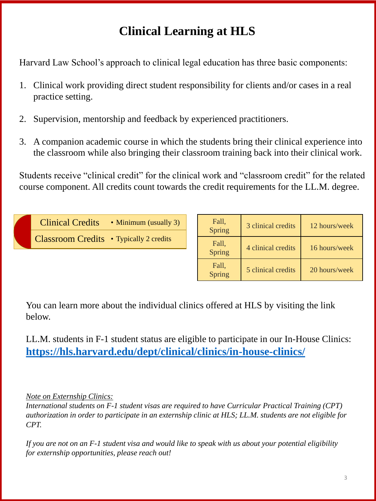| Fall,<br>Spring | 3 clinical credits | 12 hours/week |
|-----------------|--------------------|---------------|
| Fall,<br>Spring | 4 clinical credits | 16 hours/week |
| Fall,<br>Spring | 5 clinical credits | 20 hours/week |

Clinical Credits • Minimum (usually 3)

Classroom Credits • Typically 2 credits

Harvard Law School's approach to clinical legal education has three basic components:

- 1. Clinical work providing direct student responsibility for clients and/or cases in a real practice setting.
- 2. Supervision, mentorship and feedback by experienced practitioners.
- 3. A companion academic course in which the students bring their clinical experience into the classroom while also bringing their classroom training back into their clinical work.

Students receive "clinical credit" for the clinical work and "classroom credit" for the related course component. All credits count towards the credit requirements for the LL.M. degree.

# **Clinical Learning at HLS**

You can learn more about the individual clinics offered at HLS by visiting the link below.

LL.M. students in F-1 student status are eligible to participate in our In-House Clinics: **<https://hls.harvard.edu/dept/clinical/clinics/in-house-clinics/>**

#### *Note on Externship Clinics:*

*International students on F-1 student visas are required to have Curricular Practical Training (CPT) authorization in order to participate in an externship clinic at HLS; LL.M. students are not eligible for CPT.* 

*If you are not on an F-1 student visa and would like to speak with us about your potential eligibility for externship opportunities, please reach out!*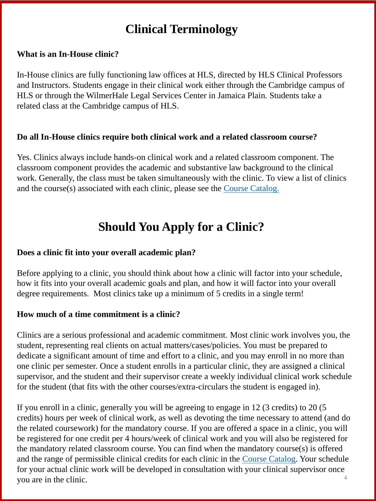# **Clinical Terminology**

#### **What is an In-House clinic?**

In-House clinics are fully functioning law offices at HLS, directed by HLS Clinical Professors and Instructors. Students engage in their clinical work either through the Cambridge campus of HLS or through the WilmerHale Legal Services Center in Jamaica Plain. Students take a related class at the Cambridge campus of HLS.

Yes. Clinics always include hands-on clinical work and a related classroom component. The classroom component provides the academic and substantive law background to the clinical work. Generally, the class must be taken simultaneously with the clinic. To view a list of clinics and the course(s) associated with each clinic, please see the **Course Catalog**.

#### **Do all In-House clinics require both clinical work and a related classroom course?**

# **Should You Apply for a Clinic?**

#### **Does a clinic fit into your overall academic plan?**

Before applying to a clinic, you should think about how a clinic will factor into your schedule, how it fits into your overall academic goals and plan, and how it will factor into your overall degree requirements. Most clinics take up a minimum of 5 credits in a single term!

#### **How much of a time commitment is a clinic?**

Clinics are a serious professional and academic commitment. Most clinic work involves you, the student, representing real clients on actual matters/cases/policies. You must be prepared to

dedicate a significant amount of time and effort to a clinic, and you may enroll in no more than one clinic per semester. Once a student enrolls in a particular clinic, they are assigned a clinical supervisor, and the student and their supervisor create a weekly individual clinical work schedule for the student (that fits with the other courses/extra-circulars the student is engaged in).

4 If you enroll in a clinic, generally you will be agreeing to engage in 12 (3 credits) to 20 (5 credits) hours per week of clinical work, as well as devoting the time necessary to attend (and do the related coursework) for the mandatory course. If you are offered a space in a clinic, you will be registered for one credit per 4 hours/week of clinical work and you will also be registered for the mandatory related classroom course. You can find when the mandatory course(s) is offered and the range of permissible clinical credits for each clinic in the [Course Catalog.](https://hls.harvard.edu/academics/curriculum/catalog/default.aspx?year=2019-2020) Your schedule for your actual clinic work will be developed in consultation with your clinical supervisor once you are in the clinic.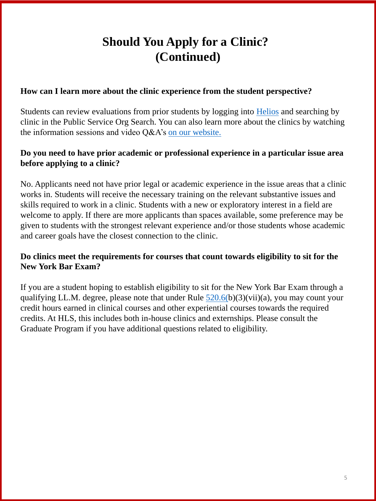# **Should You Apply for a Clinic? (Continued)**

#### **How can I learn more about the clinic experience from the student perspective?**

Students can review evaluations from prior students by logging into [Helios](helios.law.harvard.edu) and searching by clinic in the Public Service Org Search. You can also learn more about the clinics by watching the information sessions and video Q&A's [on our website.](https://hls.harvard.edu/dept/clinical/2021-cross-clinical-panels/)

### **Do you need to have prior academic or professional experience in a particular issue area before applying to a clinic?**

No. Applicants need not have prior legal or academic experience in the issue areas that a clinic works in. Students will receive the necessary training on the relevant substantive issues and skills required to work in a clinic. Students with a new or exploratory interest in a field are welcome to apply. If there are more applicants than spaces available, some preference may be given to students with the strongest relevant experience and/or those students whose academic and career goals have the closest connection to the clinic.

#### **Do clinics meet the requirements for courses that count towards eligibility to sit for the New York Bar Exam?**

If you are a student hoping to establish eligibility to sit for the New York Bar Exam through a qualifying LL.M. degree, please note that under Rule  $520.6(b)(3)(vii)(a)$  $520.6(b)(3)(vii)(a)$ , you may count your credit hours earned in clinical courses and other experiential courses towards the required credits. At HLS, this includes both in-house clinics and externships. Please consult the Graduate Program if you have additional questions related to eligibility.

5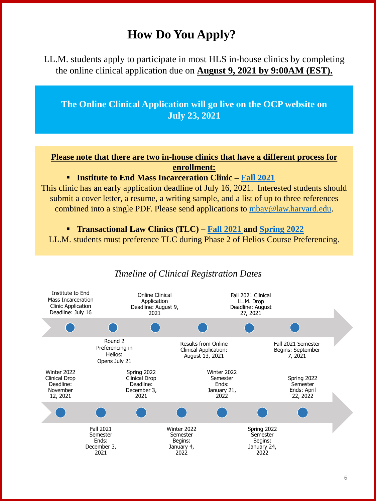### *Timeline of Clinical Registration Dates*

| Helios:<br>Opens July 21                                                 |                                                                         | <u>Umnuar reprodución</u><br>August 13, 2021 |                                                          | <b>DUGINU</b> UUDUUNUU |                                                           |  |  |
|--------------------------------------------------------------------------|-------------------------------------------------------------------------|----------------------------------------------|----------------------------------------------------------|------------------------|-----------------------------------------------------------|--|--|
| Winter 2022<br><b>Clinical Drop</b><br>Deadline:<br>November<br>12, 2021 | Spring 2022<br><b>Clinical Drop</b><br>Deadline:<br>December 3,<br>2021 |                                              | Winter 2022<br>Semester<br>Ends:<br>January 21,<br>2022  |                        | Spring 2022<br>Semester<br>Ends: April<br>22, 2022        |  |  |
|                                                                          |                                                                         |                                              |                                                          |                        |                                                           |  |  |
|                                                                          | <b>Fall 2021</b><br>Semester<br>Ends:<br>December 3,<br>2021            |                                              | Winter 2022<br>Semester<br>Begins:<br>January 4,<br>2022 |                        | Spring 2022<br>Semester<br>Begins:<br>January 24,<br>2022 |  |  |

LL.M. students apply to participate in most HLS in-house clinics by completing the online clinical application due on **August 9, 2021 by 9:00AM (EST).** 



# **How Do You Apply?**

**The Online Clinical Application will go live on the OCP website on July 23, 2021**

**Please note that there are two in-house clinics that have a different process for enrollment:**

**Institute to End Mass Incarceration Clinic – [Fall 2021](https://hls.harvard.edu/academics/curriculum/catalog/default.aspx?o=77851)**

This clinic has an early application deadline of July 16, 2021. Interested students should submit a cover letter, a resume, a writing sample, and a list of up to three references combined into a single PDF. Please send applications to [mbay@law.harvard.edu](mailto:mbay@law.harvard.edu).

**Transactional Law Clinics (TLC) – [Fall 2021 a](https://hls.harvard.edu/academics/curriculum/catalog/default.aspx?o=77761)nd [Spring 2022](https://hls.harvard.edu/academics/curriculum/catalog/default.aspx?o=77762)**

LL.M. students must preference TLC during Phase 2 of Helios Course Preferencing.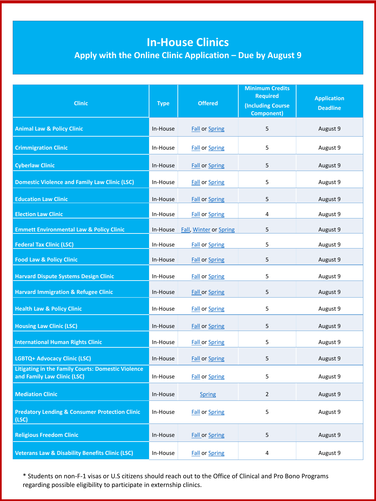# **In-House Clinics**

## **Apply with the Online Clinic Application – Due by August 9**

| <b>Clinic</b>                                        | <b>Type</b> | <b>Offered</b>                | <b>Minimum Credits</b><br><b>Required</b><br><b>Including Course</b><br><b>Component)</b> | <b>Application</b><br><b>Deadline</b> |
|------------------------------------------------------|-------------|-------------------------------|-------------------------------------------------------------------------------------------|---------------------------------------|
| <b>Animal Law &amp; Policy Clinic</b>                | In-House    | <b>Fall or Spring</b>         | 5                                                                                         | August 9                              |
| <b>Crimmigration Clinic</b>                          | In-House    | <b>Fall or Spring</b>         | 5                                                                                         | August 9                              |
| <b>Cyberlaw Clinic</b>                               | In-House    | <b>Fall or Spring</b>         | 5                                                                                         | August 9                              |
| <b>Domestic Violence and Family Law Clinic (LSC)</b> | In-House    | <b>Fall or Spring</b>         | 5                                                                                         | August 9                              |
| <b>Education Law Clinic</b>                          | In-House    | <b>Fall or Spring</b>         | 5                                                                                         | August 9                              |
| <b>Election Law Clinic</b>                           | In-House    | <b>Fall or Spring</b>         | 4                                                                                         | August 9                              |
| <b>Emmett Environmental Law &amp; Policy Clinic</b>  | In-House    | <b>Fall, Winter or Spring</b> | 5                                                                                         | August 9                              |
| <b>Federal Tax Clinic (LSC)</b>                      | In-House    | <b>Fall or Spring</b>         | 5                                                                                         | August 9                              |
| <b>Food Law &amp; Policy Clinic</b>                  | In-House    | <b>Fall or Spring</b>         | 5                                                                                         | August 9                              |
| <b>Harvard Dispute Systems Design Clinic</b>         | In-House    | <b>Fall or Spring</b>         | 5                                                                                         | August 9                              |
| <b>Harvard Immigration &amp; Refugee Clinic</b>      | In-House    | <b>Fall or Spring</b>         | 5                                                                                         | August 9                              |
| <b>Health Law &amp; Policy Clinic</b>                | In-House    | <b>Fall or Spring</b>         | 5                                                                                         | August 9                              |
| <b>Housing Law Clinic (LSC)</b>                      | In-House    | <b>Fall or Spring</b>         | 5                                                                                         | August 9                              |
| <b>International Human Rights Clinic</b>             | In-House    | <b>Fall or Spring</b>         | 5                                                                                         | August 9                              |

| <b>LGBTQ+ Advocacy Clinic (LSC)</b>                                                      | In-House | <b>Fall or Spring</b> | 5              | August 9 |
|------------------------------------------------------------------------------------------|----------|-----------------------|----------------|----------|
| <b>Litigating in the Family Courts: Domestic Violence</b><br>and Family Law Clinic (LSC) | In-House | <b>Fall or Spring</b> | 5              | August 9 |
| <b>Mediation Clinic</b>                                                                  | In-House | <b>Spring</b>         | $\overline{2}$ | August 9 |
| <b>Predatory Lending &amp; Consumer Protection Clinic</b><br>(LSC)                       | In-House | <b>Fall or Spring</b> | 5              | August 9 |
| <b>Religious Freedom Clinic</b>                                                          | In-House | <b>Fall or Spring</b> | 5              | August 9 |
| <b>Veterans Law &amp; Disability Benefits Clinic (LSC)</b>                               | In-House | <b>Fall or Spring</b> | 4              | August 9 |

\* Students on non-F-1 visas or U.S citizens should reach out to the Office of Clinical and Pro Bono Programs regarding possible eligibility to participate in externship clinics.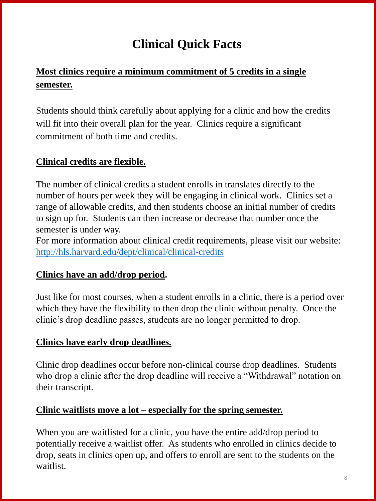### **Most clinics require a minimum commitment of 5 credits in a single semester.**

Students should think carefully about applying for a clinic and how the credits will fit into their overall plan for the year. Clinics require a significant commitment of both time and credits.

### **Clinical credits are flexible.**

The number of clinical credits a student enrolls in translates directly to the number of hours per week they will be engaging in clinical work. Clinics set a range of allowable credits, and then students choose an initial number of credits to sign up for. Students can then increase or decrease that number once the semester is under way.

For more information about clinical credit requirements, please visit our website: <http://hls.harvard.edu/dept/clinical/clinical-credits>

### **Clinics have an add/drop period.**

Just like for most courses, when a student enrolls in a clinic, there is a period over which they have the flexibility to then drop the clinic without penalty. Once the clinic's drop deadline passes, students are no longer permitted to drop.

### **Clinics have early drop deadlines.**

Clinic drop deadlines occur before non-clinical course drop deadlines. Students who drop a clinic after the drop deadline will receive a "Withdrawal" notation on their transcript.

#### **Clinic waitlists move a lot – especially for the spring semester.**

When you are waitlisted for a clinic, you have the entire add/drop period to potentially receive a waitlist offer. As students who enrolled in clinics decide to drop, seats in clinics open up, and offers to enroll are sent to the students on the waitlist.

# **Clinical Quick Facts**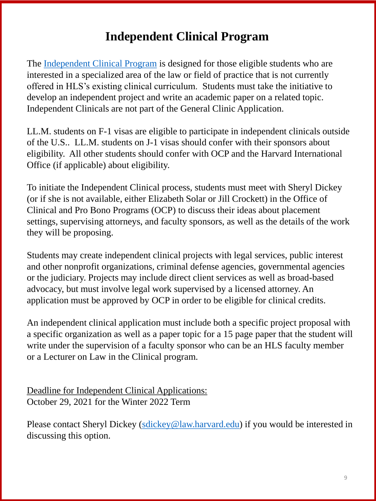# **Independent Clinical Program**

The [Independent Clinical Program](https://hls.harvard.edu/dept/clinical/clinics/independent-clinical-work-program/) is designed for those eligible students who are interested in a specialized area of the law or field of practice that is not currently offered in HLS's existing clinical curriculum. Students must take the initiative to develop an independent project and write an academic paper on a related topic. Independent Clinicals are not part of the General Clinic Application.

LL.M. students on F-1 visas are eligible to participate in independent clinicals outside of the U.S.. LL.M. students on J-1 visas should confer with their sponsors about eligibility. All other students should confer with OCP and the Harvard International Office (if applicable) about eligibility.

To initiate the Independent Clinical process, students must meet with Sheryl Dickey (or if she is not available, either Elizabeth Solar or Jill Crockett) in the Office of Clinical and Pro Bono Programs (OCP) to discuss their ideas about placement settings, supervising attorneys, and faculty sponsors, as well as the details of the work they will be proposing.

### Deadline for Independent Clinical Applications: October 29, 2021 for the Winter 2022 Term

Please contact Sheryl Dickey ([sdickey@law.harvard.edu](mailto:sdickey@law.harvard.edu)) if you would be interested in discussing this option.

Students may create independent clinical projects with legal services, public interest and other nonprofit organizations, criminal defense agencies, governmental agencies or the judiciary. Projects may include direct client services as well as broad-based advocacy, but must involve legal work supervised by a licensed attorney. An application must be approved by OCP in order to be eligible for clinical credits.

An independent clinical application must include both a specific project proposal with a specific organization as well as a paper topic for a 15 page paper that the student will write under the supervision of a faculty sponsor who can be an HLS faculty member

#### or a Lecturer on Law in the Clinical program.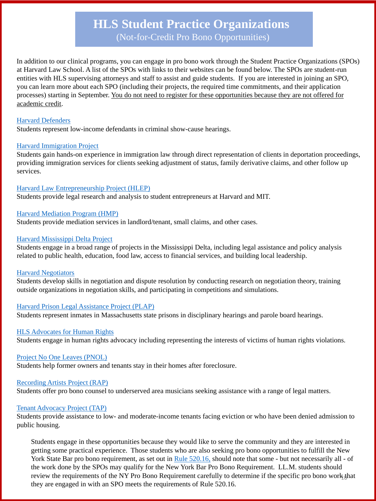In addition to our clinical programs, you can engage in pro bono work through the Student Practice Organizations (SPOs) at Harvard Law School. A list of the SPOs with links to their websites can be found below. The SPOs are student-run entities with HLS supervising attorneys and staff to assist and guide students. If you are interested in joining an SPO, you can learn more about each SPO (including their projects, the required time commitments, and their application processes) starting in September. You do not need to register for these opportunities because they are not offered for academic credit.

#### [Harvard Defenders](http://clinics.law.harvard.edu/defenders/)

Students represent low-income defendants in criminal show-cause hearings.

#### [Harvard Immigration Project](https://clinics.law.harvard.edu/hip/)

Students gain hands-on experience in immigration law through direct representation of clients in deportation proceedings, providing immigration services for clients seeking adjustment of status, family derivative claims, and other follow up services.

#### [Harvard Law Entrepreneurship Project \(HLEP\)](http://hlep.org/)

Students provide legal research and analysis to student entrepreneurs at Harvard and MIT.

#### [Harvard Mediation Program \(HMP\)](http://clinics.law.harvard.edu/hmp/)

Students provide mediation services in landlord/tenant, small claims, and other cases.

#### [Harvard Mississippi Delta Project](https://clinics.law.harvard.edu/deltaproject/)

Students engage in a broad range of projects in the Mississippi Delta, including legal assistance and policy analysis related to public health, education, food law, access to financial services, and building local leadership.

#### **[Harvard Negotiators](https://clinics.law.harvard.edu/negotiators/)**

Students develop skills in negotiation and dispute resolution by conducting research on negotiation theory, training outside organizations in negotiation skills, and participating in competitions and simulations.

#### [Harvard Prison Legal Assistance Project \(PLAP\)](http://www.law.harvard.edu/academics/clinical/plap/index.html)

Students represent inmates in Massachusetts state prisons in disciplinary hearings and parole board hearings.

#### [HLS Advocates for Human Rights](https://clinics.law.harvard.edu/advocates/)

Students engage in human rights advocacy including representing the interests of victims of human rights violations.

#### [Project No One Leaves \(PNOL\)](https://orgs.law.harvard.edu/nol/)

Students help former owners and tenants stay in their homes after foreclosure.

#### [Recording Artists Project \(RAP\)](http://www.recordingartistsproject.com/)

Students offer pro bono counsel to underserved area musicians seeking assistance with a range of legal matters.

#### [Tenant Advocacy Project \(TAP\)](http://clinics.law.harvard.edu/tap/)

Students provide assistance to low- and moderate-income tenants facing eviction or who have been denied admission to public housing.

Students engage in these opportunities because they would like to serve the community and they are interested in getting some practical experience. Those students who are also seeking pro bono opportunities to fulfill the New York State Bar pro bono requirement, as set out in [Rule 520.16,](http://www.nycourts.gov/attorneys/probono/baradmissionreqs.shtml) should note that some - but not necessarily all - of the work done by the SPOs may qualify for the New York Bar Pro Bono Requirement. LL.M. students should review the requirements of the NY Pro Bono Requirement carefully to determine if the specific pro bono work that they are engaged in with an SPO meets the requirements of Rule 520.16.

# **HLS Student Practice Organizations**  (Not-for-Credit Pro Bono Opportunities)